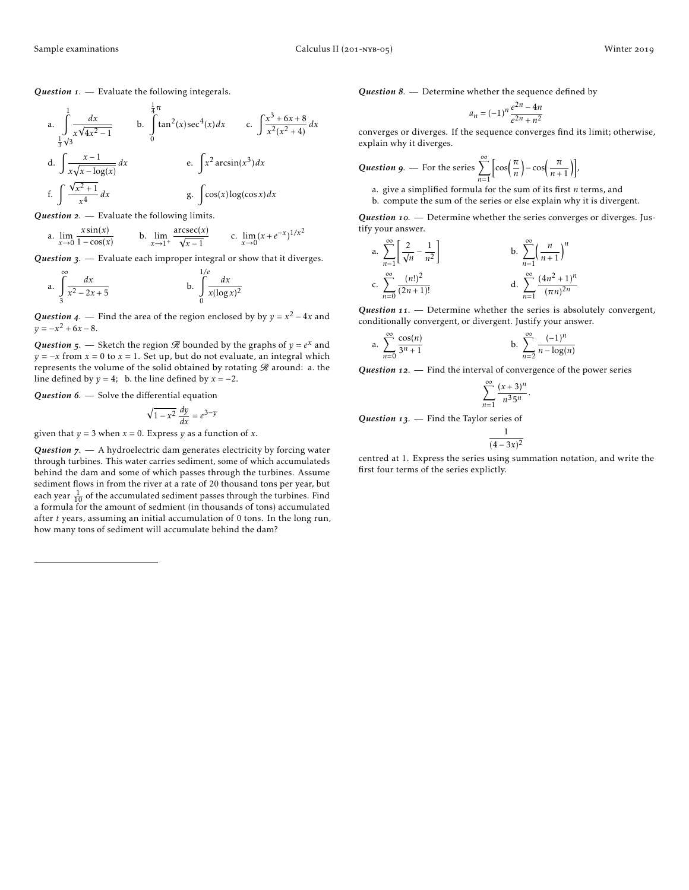*Question* . — Evaluate the following integerals.

a. 
$$
\int_{\frac{1}{3}\sqrt{3}}^{1} \frac{dx}{x\sqrt{4x^2 - 1}}
$$
 b.  $\int_{0}^{\frac{1}{4}\pi} \tan^2(x) \sec^4(x) dx$  c.  $\int \frac{x^3 + 6x + 8}{x^2(x^2 + 4)} dx$   
d.  $\int \frac{x - 1}{x\sqrt{x - \log(x)}} dx$  e.  $\int x^2 \arcsin(x^3) dx$   
f.  $\int \frac{\sqrt{x^2 + 1}}{x^4} dx$  g.  $\int \cos(x) \log(\cos x) dx$ 

**Question 2.** — Evaluate the following limits.

a. 
$$
\lim_{x \to 0} \frac{x \sin(x)}{1 - \cos(x)}
$$
 b.  $\lim_{x \to 1^+} \frac{\operatorname{arcsec}(x)}{\sqrt{x - 1}}$  c.  $\lim_{x \to 0} (x + e^{-x})^{1/x^2}$ 

Question 3. — Evaluate each improper integral or show that it diverges.

a. 
$$
\int_{3}^{\infty} \frac{dx}{x^2 - 2x + 5}
$$
 b. 
$$
\int_{0}^{1/e} \frac{dx}{x(\log x)^2}
$$

*Question* 4. — Find the area of the region enclosed by by  $y = x^2 - 4x$  and  $y = -x^2 + 6x - 8.$ 

*Question* 5. — Sketch the region  $\Re$  bounded by the graphs of  $y = e^x$  and *y* =  $-x$  from *x* = 0 to *x* = 1. Set up, but do not evaluate, an integral which represents the volume of the solid obtained by rotating  $\mathscr R$  around: a. the line defined by  $y = 4$ ; b. the line defined by  $x = -2$ .

Question 6. - Solve the differential equation

$$
\sqrt{1 - x^2} \frac{dy}{dx} = e^{3-y}
$$

given that  $y = 3$  when  $x = 0$ . Express  $y$  as a function of  $x$ .

Question 7. - A hydroelectric dam generates electricity by forcing water through turbines. This water carries sediment, some of which accumulateds behind the dam and some of which passes through the turbines. Assume sediment flows in from the river at a rate of 20 thousand tons per year, but each year  $\frac{1}{10}$  of the accumulated sediment passes through the turbines. Find a formula for the amount of sedmient (in thousands of tons) accumulated after *t* years, assuming an initial accumulation of 0 tons. In the long run, how many tons of sediment will accumulate behind the dam?

**Question 8.** — Determine whether the sequence defined by

$$
a_n = (-1)^n \frac{e^{2n} - 4n}{e^{2n} + n^2}
$$

converges or diverges. If the sequence converges find its limit; otherwise, explain why it diverges.

**Question 9.** - For the series 
$$
\sum_{n=1}^{\infty} \left[ \cos\left(\frac{\pi}{n}\right) - \cos\left(\frac{\pi}{n+1}\right) \right],
$$

a. give a simplified formula for the sum of its first *n* terms, and b. compute the sum of the series or else explain why it is divergent.

Question 10. - Determine whether the series converges or diverges. Justify your answer.

a. 
$$
\sum_{n=1}^{\infty} \left[ \frac{2}{\sqrt{n}} - \frac{1}{n^2} \right]
$$
  
b. 
$$
\sum_{n=1}^{\infty} \left( \frac{n}{n+1} \right)^n
$$
  
c. 
$$
\sum_{n=0}^{\infty} \frac{(n!)^2}{(2n+1)!}
$$
  
d. 
$$
\sum_{n=1}^{\infty} \frac{(4n^2+1)^n}{(\pi n)^{2n}}
$$

Question 11. - Determine whether the series is absolutely convergent, conditionally convergent, or divergent. Justify your answer.

a. 
$$
\sum_{n=0}^{\infty} \frac{\cos(n)}{3^n + 1}
$$
 b.  $\sum_{n=2}^{\infty} \frac{(-1)^n}{n - \log(n)}$ 

**Question** 12. — Find the interval of convergence of the power series

$$
\sum_{n=1}^{\infty} \frac{(x+3)^n}{n^3 5^n}.
$$

**Question 13.** — Find the Taylor series of

$$
\frac{1}{(4-3x)^2}
$$

centred at 1. Express the series using summation notation, and write the first four terms of the series explictly.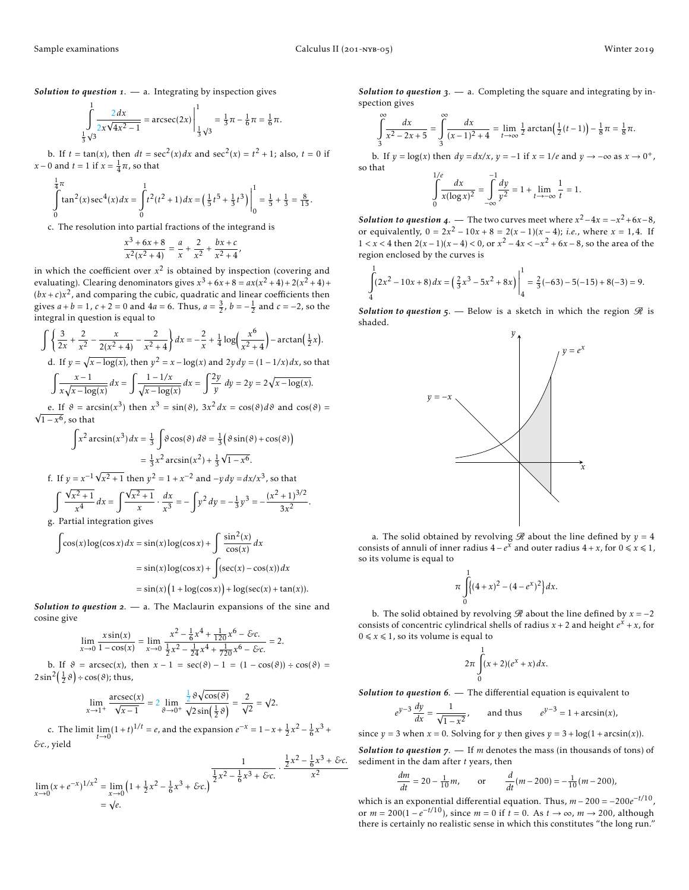*Solution to question* . — a. Integrating by inspection gives

$$
\int_{\frac{1}{3}\sqrt{3}}^{1} \frac{2 dx}{2x\sqrt{4x^2 - 1}} = \arcsc(2x) \Big|_{\frac{1}{3}\sqrt{3}}^{1} = \frac{1}{3}\pi - \frac{1}{6}\pi = \frac{1}{6}\pi.
$$

b. If  $t = \tan(x)$ , then  $dt = \sec^2(x) dx$  and  $\sec^2(x) = t^2 + 1$ ; also,  $t = 0$  if *x* − 0 and *t* = 1 if *x* =  $\frac{1}{4}\pi$ , so that

$$
\int_{0}^{\frac{1}{4}\pi} \tan^{2}(x) \sec^{4}(x) dx = \int_{0}^{1} t^{2} (t^{2} + 1) dx = \left(\frac{1}{5}t^{5} + \frac{1}{3}t^{3}\right)\Big|_{0}^{1} = \frac{1}{5} + \frac{1}{3} = \frac{8}{15}.
$$

c. The resolution into partial fractions of the integrand is

$$
\frac{x^3 + 6x + 8}{x^2(x^2 + 4)} = \frac{a}{x} + \frac{2}{x^2} + \frac{bx + c}{x^2 + 4}
$$

,

in which the coefficient over  $x^2$  is obtained by inspection (covering and evaluating). Clearing denominators gives  $x^3 + 6x + 8 = ax(x^2 + 4) + 2(x^2 + 4) +$  $(bx+c)x<sup>2</sup>$ , and comparing the cubic, quadratic and linear coefficients then gives  $a + b = 1$ ,  $c + 2 = 0$  and  $4a = 6$ . Thus,  $a = \frac{3}{2}$ ,  $b = -\frac{1}{2}$  and  $c = -2$ , so the integral in question is equal to

$$
\int \left\{ \frac{3}{2x} + \frac{2}{x^2} - \frac{x}{2(x^2 + 4)} - \frac{2}{x^2 + 4} \right\} dx = -\frac{2}{x} + \frac{1}{4} \log \left( \frac{x^6}{x^2 + 4} \right) - \arctan \left( \frac{1}{2} x \right).
$$
  
d. If  $y = \sqrt{x - \log(x)}$ , then  $y^2 = x - \log(x)$  and  $2y \, dy = (1 - 1/x) \, dx$ , so that  

$$
\int \frac{x - 1}{x \sqrt{x - \log(x)}} \, dx = \int \frac{1 - 1/x}{\sqrt{x - \log(x)}} \, dx = \int \frac{2y}{y} \, dy = 2y = 2\sqrt{x - \log(x)}.
$$

e. If  $\vartheta = \arcsin(x^3)$  then  $x^3 = \sin(\vartheta)$ ,  $3x^2 dx = \cos(\vartheta) d\vartheta$  and  $\cos(\vartheta) =$  $\sqrt{1-x^6}$ , so that

$$
\int x^2 \arcsin(x^3) dx = \frac{1}{3} \int \vartheta \cos(\vartheta) d\vartheta = \frac{1}{3} (\vartheta \sin(\vartheta) + \cos(\vartheta))
$$
  
\n
$$
= \frac{1}{3} x^2 \arcsin(x^2) + \frac{1}{3} \sqrt{1 - x^6}.
$$
  
\nf. If  $y = x^{-1} \sqrt{x^2 + 1}$  then  $y^2 = 1 + x^{-2}$  and  $-y dy = dx/x^3$ , so that  
\n
$$
\int \frac{\sqrt{x^2 + 1}}{x^4} dx = \int \frac{\sqrt{x^2 + 1}}{x} \cdot \frac{dx}{x^3} = -\int y^2 dy = -\frac{1}{3} y^3 = -\frac{(x^2 + 1)^{3/2}}{3x^2}.
$$
  
\ng. Partial integration gives

$$
\int \cos(x) \log(\cos x) dx = \sin(x) \log(\cos x) + \int \frac{\sin^2(x)}{\cos(x)} dx
$$

$$
= \sin(x) \log(\cos x) + \int (\sec(x) - \cos(x)) dx
$$

$$
= \sin(x) (1 + \log(\cos x)) + \log(\sec(x) + \tan(x)).
$$

*Solution to question*  $2. - a$ . The Maclaurin expansions of the sine and cosine give

$$
\lim_{x \to 0} \frac{x \sin(x)}{1 - \cos(x)} = \lim_{x \to 0} \frac{x^2 - \frac{1}{6}x^4 + \frac{1}{120}x^6 - \&c.}{\frac{1}{2}x^2 - \frac{1}{24}x^4 + \frac{1}{720}x^6 - \&c.} = 2.
$$

b. If  $\vartheta = \operatorname{arcsec}(x)$ , then  $x - 1 = \sec(\vartheta) - 1 = (1 - \cos(\vartheta)) \div \cos(\vartheta) =$  $2\sin^2(\frac{1}{2}\vartheta) \div \cos(\vartheta)$ ; thus,

$$
\lim_{x \to 1^+} \frac{\operatorname{arcsec}(x)}{\sqrt{x-1}} = 2 \lim_{\delta \to 0^+} \frac{\frac{1}{2} \vartheta \sqrt{\cos(\vartheta)}}{\sqrt{2 \sin(\frac{1}{2} \vartheta)}} = \frac{2}{\sqrt{2}} = \sqrt{2}.
$$

c. The limit  $\lim_{t \to 0} (1+t)^{1/t} = e$ , and the expansion  $e^{-x} = 1 - x + \frac{1}{2}x^2 - \frac{1}{6}x^3 + \dots$ *&c.*, yield

$$
\lim_{x \to 0} (x + e^{-x})^{1/x^2} = \lim_{x \to 0} \left( 1 + \frac{1}{2}x^2 - \frac{1}{6}x^3 + \mathcal{E}c \right)^{\frac{1}{2}x^2 - \frac{1}{6}x^3 + \mathcal{E}c} \cdot \frac{\frac{1}{2}x^2 - \frac{1}{6}x^3 + \mathcal{E}c}{x^2}
$$

$$
= \sqrt{e}.
$$

*Solution to question*  $3. - a$ . Completing the square and integrating by inspection gives

$$
\int_{3}^{\infty} \frac{dx}{x^2 - 2x + 5} = \int_{3}^{\infty} \frac{dx}{(x - 1)^2 + 4} = \lim_{t \to \infty} \frac{1}{2} \arctan(\frac{1}{2}(t - 1)) - \frac{1}{8}\pi = \frac{1}{8}\pi.
$$

b. If  $y = \log(x)$  then  $dy = dx/x$ ,  $y = -1$  if  $x = 1/e$  and  $y \rightarrow -\infty$  as  $x \rightarrow 0^+$ , so that 1*/e*

$$
\int_{0}^{1/e} \frac{dx}{x(\log x)^2} = \int_{-\infty}^{-1} \frac{dy}{y^2} = 1 + \lim_{t \to -\infty} \frac{1}{t} = 1.
$$

*Solution to question* 4. — The two curves meet where  $x^2 - 4x = -x^2 + 6x - 8$ , or equivalently,  $0 = 2x^2 - 10x + 8 = 2(x - 1)(x - 4)$ ; *i.e.*, where  $x = 1, 4$ . If 1 *< x <* 4 then 2(*x* − 1)(*x* − 4) *<* 0, or *x* <sup>2</sup> <sup>−</sup> <sup>4</sup>*x <* <sup>−</sup>*<sup>x</sup>* <sup>2</sup> + 6*<sup>x</sup>* <sup>−</sup> 8, so the area of the region enclosed by the curves is

$$
\int_{4}^{1} (2x^2 - 10x + 8) dx = \left(\frac{2}{3}x^3 - 5x^2 + 8x\right)\Big|_{4}^{1} = \frac{2}{3}(-63) - 5(-15) + 8(-3) = 9.
$$

*Solution to question*  $\zeta$ . — Below is a sketch in which the region  $\Re$  is shaded.



a. The solid obtained by revolving  $\Re$  about the line defined by  $y = 4$ consists of annuli of inner radius  $4 - e^x$  and outer radius  $4 + x$ , for  $0 \le x \le 1$ , so its volume is equal to

$$
\pi \int_{0}^{1} \left( (4+x)^2 - (4-e^x)^2 \right) dx.
$$

b. The solid obtained by revolving  $\mathscr R$  about the line defined by  $x = -2$ consists of concentric cylindrical shells of radius  $x + 2$  and height  $e^x + x$ , for  $0 \le x \le 1$ , so its volume is equal to

$$
2\pi\int\limits_0^1(x+2)(e^x+x)dx.
$$

Solution to question 6. — The differential equation is equivalent to

$$
e^{y-3}\frac{dy}{dx} = \frac{1}{\sqrt{1-x^2}}, \qquad \text{and thus} \qquad e^{y-3} = 1 + \arcsin(x),
$$

since  $y = 3$  when  $x = 0$ . Solving for  $y$  then gives  $y = 3 + log(1 + arcsin(x))$ .

*Solution to question*  $7.$  – If *m* denotes the mass (in thousands of tons) of sediment in the dam after *t* years, then

$$
\frac{dm}{dt} = 20 - \frac{1}{10}m, \qquad \text{or} \qquad \frac{d}{dt}(m - 200) = -\frac{1}{10}(m - 200),
$$

which is an exponential differential equation. Thus,  $m - 200 = -200e^{-t/10}$ , or  $m = 200(1 - e^{-t/10})$ , since  $m = 0$  if  $t = 0$ . As  $t \to \infty$ ,  $m \to 200$ , although there is certainly no realistic sense in which this constitutes "the long run."